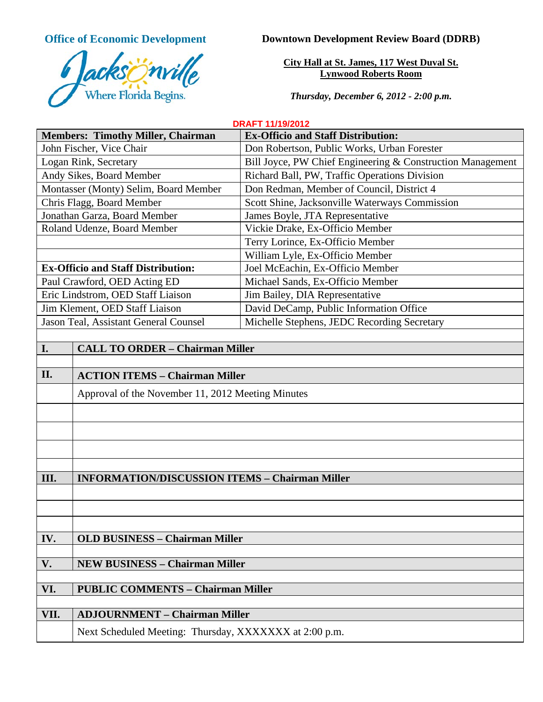**Office of Economic Development**



**Downtown Development Review Board (DDRB)**

**City Hall at St. James, 117 West Duval St. Lynwood Roberts Room**

*Thursday, December 6, 2012 - 2:00 p.m.*

**DRAFT 11/19/2012**

| <b>Members: Timothy Miller, Chairman</b>                       | <b>Ex-Officio and Staff Distribution:</b>                  |
|----------------------------------------------------------------|------------------------------------------------------------|
| John Fischer, Vice Chair                                       | Don Robertson, Public Works, Urban Forester                |
| Logan Rink, Secretary                                          | Bill Joyce, PW Chief Engineering & Construction Management |
| Andy Sikes, Board Member                                       | Richard Ball, PW, Traffic Operations Division              |
| Montasser (Monty) Selim, Board Member                          | Don Redman, Member of Council, District 4                  |
| Chris Flagg, Board Member                                      | Scott Shine, Jacksonville Waterways Commission             |
| Jonathan Garza, Board Member                                   | James Boyle, JTA Representative                            |
| Roland Udenze, Board Member                                    | Vickie Drake, Ex-Officio Member                            |
|                                                                | Terry Lorince, Ex-Officio Member                           |
|                                                                | William Lyle, Ex-Officio Member                            |
| <b>Ex-Officio and Staff Distribution:</b>                      | Joel McEachin, Ex-Officio Member                           |
| Paul Crawford, OED Acting ED                                   | Michael Sands, Ex-Officio Member                           |
| Eric Lindstrom, OED Staff Liaison                              | Jim Bailey, DIA Representative                             |
| Jim Klement, OED Staff Liaison                                 | David DeCamp, Public Information Office                    |
| Jason Teal, Assistant General Counsel                          | Michelle Stephens, JEDC Recording Secretary                |
|                                                                |                                                            |
| I.<br><b>CALL TO ORDER - Chairman Miller</b>                   |                                                            |
|                                                                |                                                            |
| $\mathbf{H}$<br>$\Lambda$ CTION ITEMS $\Omega$ Chairman Miller |                                                            |

| II.  | <b>ACTION ITEMS - Chairman Miller</b>                  |
|------|--------------------------------------------------------|
|      | Approval of the November 11, 2012 Meeting Minutes      |
|      |                                                        |
|      |                                                        |
|      |                                                        |
|      |                                                        |
| Ш.   | <b>INFORMATION/DISCUSSION ITEMS - Chairman Miller</b>  |
|      |                                                        |
|      |                                                        |
|      |                                                        |
| IV.  | <b>OLD BUSINESS - Chairman Miller</b>                  |
|      |                                                        |
| V.   | <b>NEW BUSINESS - Chairman Miller</b>                  |
|      |                                                        |
| VI.  | <b>PUBLIC COMMENTS - Chairman Miller</b>               |
|      |                                                        |
| VII. | <b>ADJOURNMENT - Chairman Miller</b>                   |
|      | Next Scheduled Meeting: Thursday, XXXXXXX at 2:00 p.m. |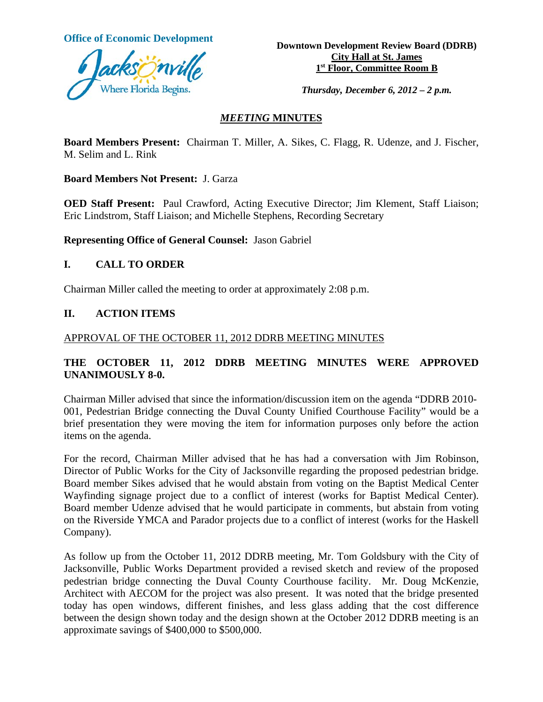

**Office of Economic Development**<br> **Downtown Development Review Board (DDRB) City Hall at St. James 1st Floor, Committee Room B**

*Thursday, December 6, 2012 – 2 p.m.*

#### *MEETING* **MINUTES**

**Board Members Present:** Chairman T. Miller, A. Sikes, C. Flagg, R. Udenze, and J. Fischer, M. Selim and L. Rink

**Board Members Not Present:** J. Garza

**OED Staff Present:** Paul Crawford, Acting Executive Director; Jim Klement, Staff Liaison; Eric Lindstrom, Staff Liaison; and Michelle Stephens, Recording Secretary

**Representing Office of General Counsel:** Jason Gabriel

#### **I. CALL TO ORDER**

Chairman Miller called the meeting to order at approximately 2:08 p.m.

#### **II. ACTION ITEMS**

APPROVAL OF THE OCTOBER 11, 2012 DDRB MEETING MINUTES

## **THE OCTOBER 11, 2012 DDRB MEETING MINUTES WERE APPROVED UNANIMOUSLY 8-0.**

Chairman Miller advised that since the information/discussion item on the agenda "DDRB 2010- 001, Pedestrian Bridge connecting the Duval County Unified Courthouse Facility" would be a brief presentation they were moving the item for information purposes only before the action items on the agenda.

For the record, Chairman Miller advised that he has had a conversation with Jim Robinson, Director of Public Works for the City of Jacksonville regarding the proposed pedestrian bridge. Board member Sikes advised that he would abstain from voting on the Baptist Medical Center Wayfinding signage project due to a conflict of interest (works for Baptist Medical Center). Board member Udenze advised that he would participate in comments, but abstain from voting on the Riverside YMCA and Parador projects due to a conflict of interest (works for the Haskell Company).

As follow up from the October 11, 2012 DDRB meeting, Mr. Tom Goldsbury with the City of Jacksonville, Public Works Department provided a revised sketch and review of the proposed pedestrian bridge connecting the Duval County Courthouse facility. Mr. Doug McKenzie, Architect with AECOM for the project was also present. It was noted that the bridge presented today has open windows, different finishes, and less glass adding that the cost difference between the design shown today and the design shown at the October 2012 DDRB meeting is an approximate savings of \$400,000 to \$500,000.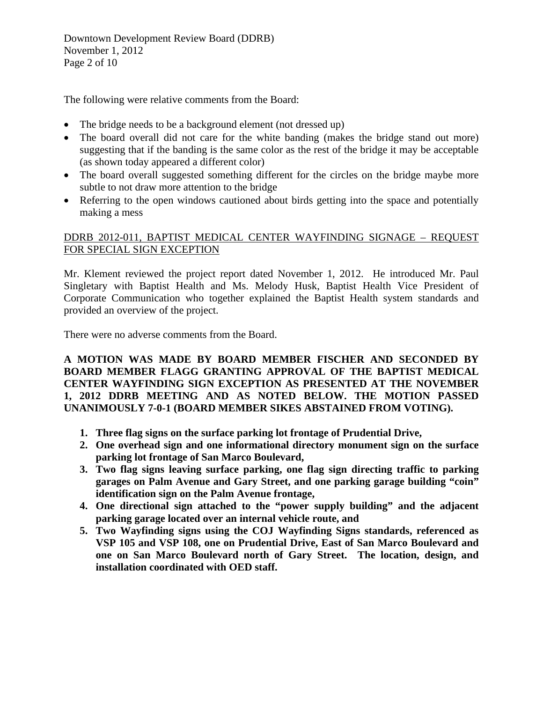Downtown Development Review Board (DDRB) November 1, 2012 Page 2 of 10

The following were relative comments from the Board:

- The bridge needs to be a background element (not dressed up)
- The board overall did not care for the white banding (makes the bridge stand out more) suggesting that if the banding is the same color as the rest of the bridge it may be acceptable (as shown today appeared a different color)
- The board overall suggested something different for the circles on the bridge maybe more subtle to not draw more attention to the bridge
- Referring to the open windows cautioned about birds getting into the space and potentially making a mess

# DDRB 2012-011, BAPTIST MEDICAL CENTER WAYFINDING SIGNAGE – REQUEST FOR SPECIAL SIGN EXCEPTION

Mr. Klement reviewed the project report dated November 1, 2012. He introduced Mr. Paul Singletary with Baptist Health and Ms. Melody Husk, Baptist Health Vice President of Corporate Communication who together explained the Baptist Health system standards and provided an overview of the project.

There were no adverse comments from the Board.

**A MOTION WAS MADE BY BOARD MEMBER FISCHER AND SECONDED BY BOARD MEMBER FLAGG GRANTING APPROVAL OF THE BAPTIST MEDICAL CENTER WAYFINDING SIGN EXCEPTION AS PRESENTED AT THE NOVEMBER 1, 2012 DDRB MEETING AND AS NOTED BELOW. THE MOTION PASSED UNANIMOUSLY 7-0-1 (BOARD MEMBER SIKES ABSTAINED FROM VOTING).** 

- **1. Three flag signs on the surface parking lot frontage of Prudential Drive,**
- **2. One overhead sign and one informational directory monument sign on the surface parking lot frontage of San Marco Boulevard,**
- **3. Two flag signs leaving surface parking, one flag sign directing traffic to parking garages on Palm Avenue and Gary Street, and one parking garage building "coin" identification sign on the Palm Avenue frontage,**
- **4. One directional sign attached to the "power supply building" and the adjacent parking garage located over an internal vehicle route, and**
- **5. Two Wayfinding signs using the COJ Wayfinding Signs standards, referenced as VSP 105 and VSP 108, one on Prudential Drive, East of San Marco Boulevard and one on San Marco Boulevard north of Gary Street. The location, design, and installation coordinated with OED staff.**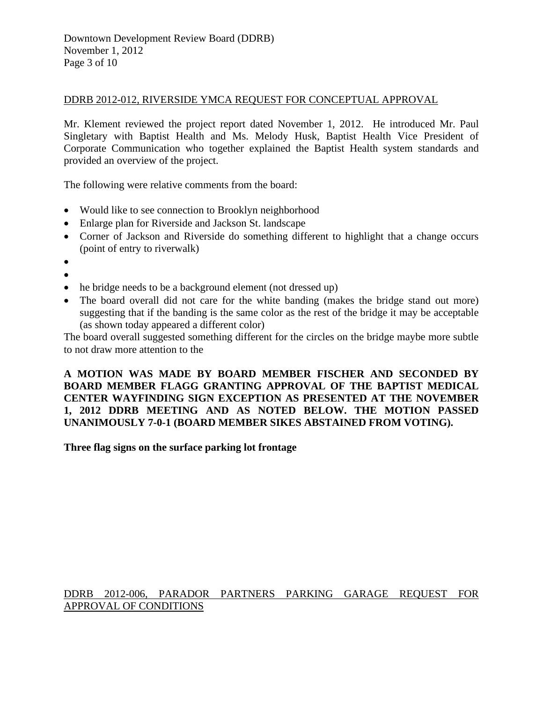#### DDRB 2012-012, RIVERSIDE YMCA REQUEST FOR CONCEPTUAL APPROVAL

Mr. Klement reviewed the project report dated November 1, 2012. He introduced Mr. Paul Singletary with Baptist Health and Ms. Melody Husk, Baptist Health Vice President of Corporate Communication who together explained the Baptist Health system standards and provided an overview of the project.

The following were relative comments from the board:

- Would like to see connection to Brooklyn neighborhood
- Enlarge plan for Riverside and Jackson St. landscape
- Corner of Jackson and Riverside do something different to highlight that a change occurs (point of entry to riverwalk)
- •
- •
- he bridge needs to be a background element (not dressed up)
- The board overall did not care for the white banding (makes the bridge stand out more) suggesting that if the banding is the same color as the rest of the bridge it may be acceptable (as shown today appeared a different color)

The board overall suggested something different for the circles on the bridge maybe more subtle to not draw more attention to the

**A MOTION WAS MADE BY BOARD MEMBER FISCHER AND SECONDED BY BOARD MEMBER FLAGG GRANTING APPROVAL OF THE BAPTIST MEDICAL CENTER WAYFINDING SIGN EXCEPTION AS PRESENTED AT THE NOVEMBER 1, 2012 DDRB MEETING AND AS NOTED BELOW. THE MOTION PASSED UNANIMOUSLY 7-0-1 (BOARD MEMBER SIKES ABSTAINED FROM VOTING).** 

**Three flag signs on the surface parking lot frontage**

## DDRB 2012-006, PARADOR PARTNERS PARKING GARAGE REQUEST FOR APPROVAL OF CONDITIONS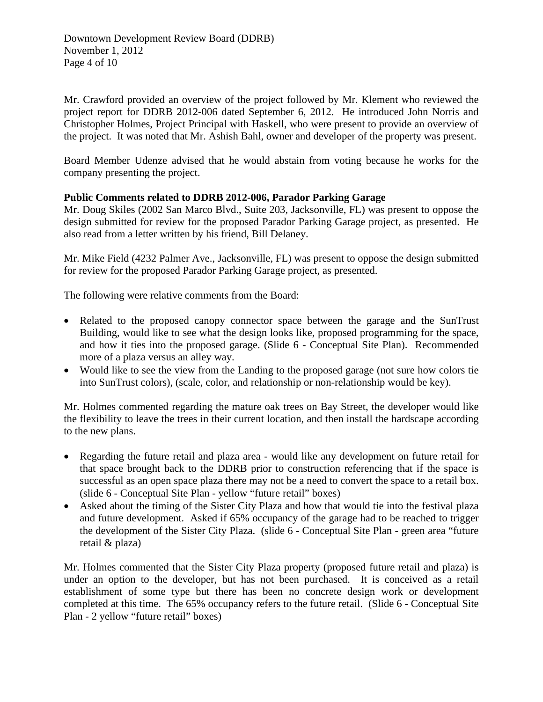Downtown Development Review Board (DDRB) November 1, 2012 Page 4 of 10

Mr. Crawford provided an overview of the project followed by Mr. Klement who reviewed the project report for DDRB 2012-006 dated September 6, 2012. He introduced John Norris and Christopher Holmes, Project Principal with Haskell, who were present to provide an overview of the project. It was noted that Mr. Ashish Bahl, owner and developer of the property was present.

Board Member Udenze advised that he would abstain from voting because he works for the company presenting the project.

## **Public Comments related to DDRB 2012-006, Parador Parking Garage**

Mr. Doug Skiles (2002 San Marco Blvd., Suite 203, Jacksonville, FL) was present to oppose the design submitted for review for the proposed Parador Parking Garage project, as presented. He also read from a letter written by his friend, Bill Delaney.

Mr. Mike Field (4232 Palmer Ave., Jacksonville, FL) was present to oppose the design submitted for review for the proposed Parador Parking Garage project, as presented.

The following were relative comments from the Board:

- Related to the proposed canopy connector space between the garage and the SunTrust Building, would like to see what the design looks like, proposed programming for the space, and how it ties into the proposed garage. (Slide 6 - Conceptual Site Plan). Recommended more of a plaza versus an alley way.
- Would like to see the view from the Landing to the proposed garage (not sure how colors tie into SunTrust colors), (scale, color, and relationship or non-relationship would be key).

Mr. Holmes commented regarding the mature oak trees on Bay Street, the developer would like the flexibility to leave the trees in their current location, and then install the hardscape according to the new plans.

- Regarding the future retail and plaza area would like any development on future retail for that space brought back to the DDRB prior to construction referencing that if the space is successful as an open space plaza there may not be a need to convert the space to a retail box. (slide 6 - Conceptual Site Plan - yellow "future retail" boxes)
- Asked about the timing of the Sister City Plaza and how that would tie into the festival plaza and future development. Asked if 65% occupancy of the garage had to be reached to trigger the development of the Sister City Plaza. (slide 6 - Conceptual Site Plan - green area "future retail & plaza)

Mr. Holmes commented that the Sister City Plaza property (proposed future retail and plaza) is under an option to the developer, but has not been purchased. It is conceived as a retail establishment of some type but there has been no concrete design work or development completed at this time. The 65% occupancy refers to the future retail. (Slide 6 - Conceptual Site Plan - 2 yellow "future retail" boxes)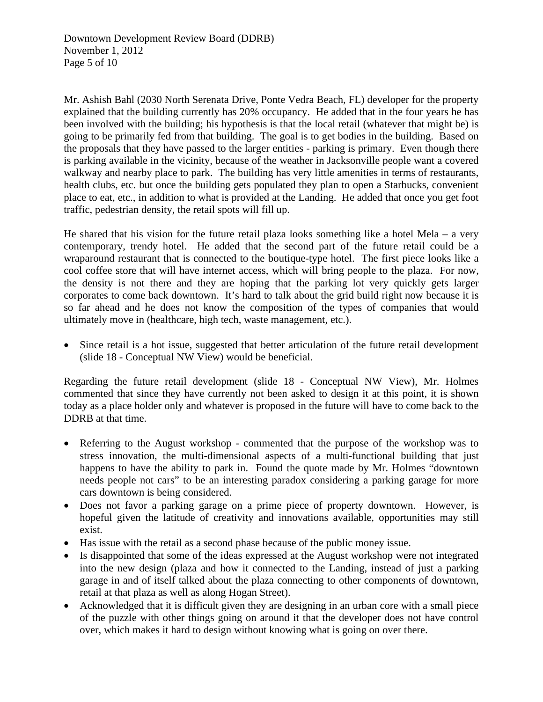Mr. Ashish Bahl (2030 North Serenata Drive, Ponte Vedra Beach, FL) developer for the property explained that the building currently has 20% occupancy. He added that in the four years he has been involved with the building; his hypothesis is that the local retail (whatever that might be) is going to be primarily fed from that building. The goal is to get bodies in the building. Based on the proposals that they have passed to the larger entities - parking is primary. Even though there is parking available in the vicinity, because of the weather in Jacksonville people want a covered walkway and nearby place to park. The building has very little amenities in terms of restaurants, health clubs, etc. but once the building gets populated they plan to open a Starbucks, convenient place to eat, etc., in addition to what is provided at the Landing. He added that once you get foot traffic, pedestrian density, the retail spots will fill up.

He shared that his vision for the future retail plaza looks something like a hotel Mela – a very contemporary, trendy hotel. He added that the second part of the future retail could be a wraparound restaurant that is connected to the boutique-type hotel. The first piece looks like a cool coffee store that will have internet access, which will bring people to the plaza. For now, the density is not there and they are hoping that the parking lot very quickly gets larger corporates to come back downtown. It's hard to talk about the grid build right now because it is so far ahead and he does not know the composition of the types of companies that would ultimately move in (healthcare, high tech, waste management, etc.).

• Since retail is a hot issue, suggested that better articulation of the future retail development (slide 18 - Conceptual NW View) would be beneficial.

Regarding the future retail development (slide 18 - Conceptual NW View), Mr. Holmes commented that since they have currently not been asked to design it at this point, it is shown today as a place holder only and whatever is proposed in the future will have to come back to the DDRB at that time.

- Referring to the August workshop commented that the purpose of the workshop was to stress innovation, the multi-dimensional aspects of a multi-functional building that just happens to have the ability to park in. Found the quote made by Mr. Holmes "downtown needs people not cars" to be an interesting paradox considering a parking garage for more cars downtown is being considered.
- Does not favor a parking garage on a prime piece of property downtown. However, is hopeful given the latitude of creativity and innovations available, opportunities may still exist.
- Has issue with the retail as a second phase because of the public money issue.
- Is disappointed that some of the ideas expressed at the August workshop were not integrated into the new design (plaza and how it connected to the Landing, instead of just a parking garage in and of itself talked about the plaza connecting to other components of downtown, retail at that plaza as well as along Hogan Street).
- Acknowledged that it is difficult given they are designing in an urban core with a small piece of the puzzle with other things going on around it that the developer does not have control over, which makes it hard to design without knowing what is going on over there.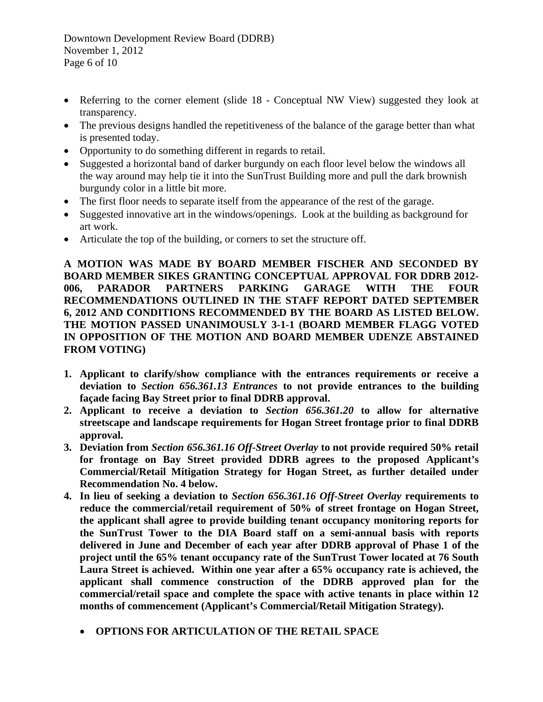Downtown Development Review Board (DDRB) November 1, 2012 Page 6 of 10

- Referring to the corner element (slide 18 Conceptual NW View) suggested they look at transparency.
- The previous designs handled the repetitiveness of the balance of the garage better than what is presented today.
- Opportunity to do something different in regards to retail.
- Suggested a horizontal band of darker burgundy on each floor level below the windows all the way around may help tie it into the SunTrust Building more and pull the dark brownish burgundy color in a little bit more.
- The first floor needs to separate itself from the appearance of the rest of the garage.
- Suggested innovative art in the windows/openings. Look at the building as background for art work.
- Articulate the top of the building, or corners to set the structure off.

**A MOTION WAS MADE BY BOARD MEMBER FISCHER AND SECONDED BY BOARD MEMBER SIKES GRANTING CONCEPTUAL APPROVAL FOR DDRB 2012- 006, PARADOR PARTNERS PARKING GARAGE WITH THE FOUR RECOMMENDATIONS OUTLINED IN THE STAFF REPORT DATED SEPTEMBER 6, 2012 AND CONDITIONS RECOMMENDED BY THE BOARD AS LISTED BELOW. THE MOTION PASSED UNANIMOUSLY 3-1-1 (BOARD MEMBER FLAGG VOTED IN OPPOSITION OF THE MOTION AND BOARD MEMBER UDENZE ABSTAINED FROM VOTING)**

- **1. Applicant to clarify/show compliance with the entrances requirements or receive a deviation to** *Section 656.361.13 Entrances* **to not provide entrances to the building façade facing Bay Street prior to final DDRB approval.**
- **2. Applicant to receive a deviation to** *Section 656.361.20* **to allow for alternative streetscape and landscape requirements for Hogan Street frontage prior to final DDRB approval.**
- **3. Deviation from** *Section 656.361.16 Off-Street Overlay* **to not provide required 50% retail for frontage on Bay Street provided DDRB agrees to the proposed Applicant's Commercial/Retail Mitigation Strategy for Hogan Street, as further detailed under Recommendation No. 4 below.**
- **4. In lieu of seeking a deviation to** *Section 656.361.16 Off-Street Overlay* **requirements to reduce the commercial/retail requirement of 50% of street frontage on Hogan Street, the applicant shall agree to provide building tenant occupancy monitoring reports for the SunTrust Tower to the DIA Board staff on a semi-annual basis with reports delivered in June and December of each year after DDRB approval of Phase 1 of the project until the 65% tenant occupancy rate of the SunTrust Tower located at 76 South Laura Street is achieved. Within one year after a 65% occupancy rate is achieved, the applicant shall commence construction of the DDRB approved plan for the commercial/retail space and complete the space with active tenants in place within 12 months of commencement (Applicant's Commercial/Retail Mitigation Strategy).**
	- **OPTIONS FOR ARTICULATION OF THE RETAIL SPACE**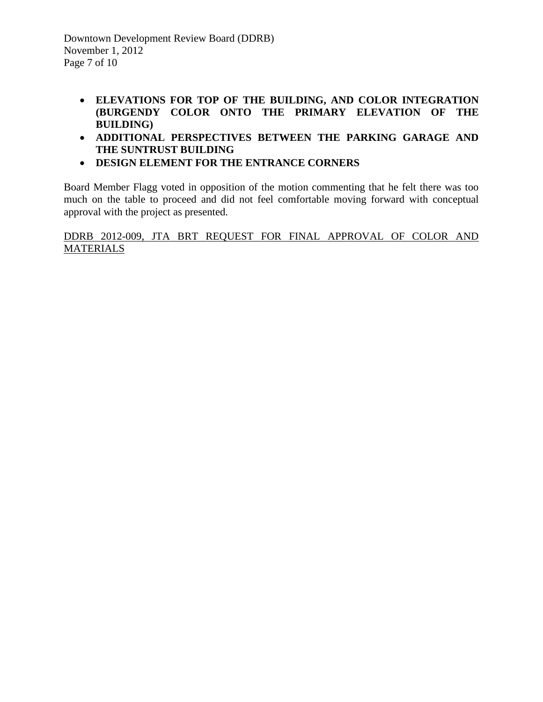Downtown Development Review Board (DDRB) November 1, 2012 Page 7 of 10

- **ELEVATIONS FOR TOP OF THE BUILDING, AND COLOR INTEGRATION (BURGENDY COLOR ONTO THE PRIMARY ELEVATION OF THE BUILDING)**
- **ADDITIONAL PERSPECTIVES BETWEEN THE PARKING GARAGE AND THE SUNTRUST BUILDING**
- **DESIGN ELEMENT FOR THE ENTRANCE CORNERS**

Board Member Flagg voted in opposition of the motion commenting that he felt there was too much on the table to proceed and did not feel comfortable moving forward with conceptual approval with the project as presented.

DDRB 2012-009, JTA BRT REQUEST FOR FINAL APPROVAL OF COLOR AND **MATERIALS**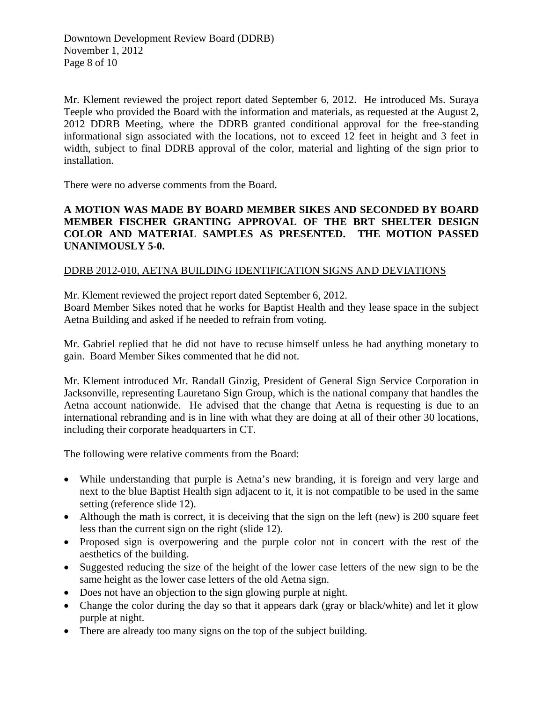Mr. Klement reviewed the project report dated September 6, 2012. He introduced Ms. Suraya Teeple who provided the Board with the information and materials, as requested at the August 2, 2012 DDRB Meeting, where the DDRB granted conditional approval for the free-standing informational sign associated with the locations, not to exceed 12 feet in height and 3 feet in width, subject to final DDRB approval of the color, material and lighting of the sign prior to installation.

There were no adverse comments from the Board.

## **A MOTION WAS MADE BY BOARD MEMBER SIKES AND SECONDED BY BOARD MEMBER FISCHER GRANTING APPROVAL OF THE BRT SHELTER DESIGN COLOR AND MATERIAL SAMPLES AS PRESENTED. THE MOTION PASSED UNANIMOUSLY 5-0.**

## DDRB 2012-010, AETNA BUILDING IDENTIFICATION SIGNS AND DEVIATIONS

Mr. Klement reviewed the project report dated September 6, 2012.

Board Member Sikes noted that he works for Baptist Health and they lease space in the subject Aetna Building and asked if he needed to refrain from voting.

Mr. Gabriel replied that he did not have to recuse himself unless he had anything monetary to gain. Board Member Sikes commented that he did not.

Mr. Klement introduced Mr. Randall Ginzig, President of General Sign Service Corporation in Jacksonville, representing Lauretano Sign Group, which is the national company that handles the Aetna account nationwide. He advised that the change that Aetna is requesting is due to an international rebranding and is in line with what they are doing at all of their other 30 locations, including their corporate headquarters in CT.

The following were relative comments from the Board:

- While understanding that purple is Aetna's new branding, it is foreign and very large and next to the blue Baptist Health sign adjacent to it, it is not compatible to be used in the same setting (reference slide 12).
- Although the math is correct, it is deceiving that the sign on the left (new) is 200 square feet less than the current sign on the right (slide 12).
- Proposed sign is overpowering and the purple color not in concert with the rest of the aesthetics of the building.
- Suggested reducing the size of the height of the lower case letters of the new sign to be the same height as the lower case letters of the old Aetna sign.
- Does not have an objection to the sign glowing purple at night.
- Change the color during the day so that it appears dark (gray or black/white) and let it glow purple at night.
- There are already too many signs on the top of the subject building.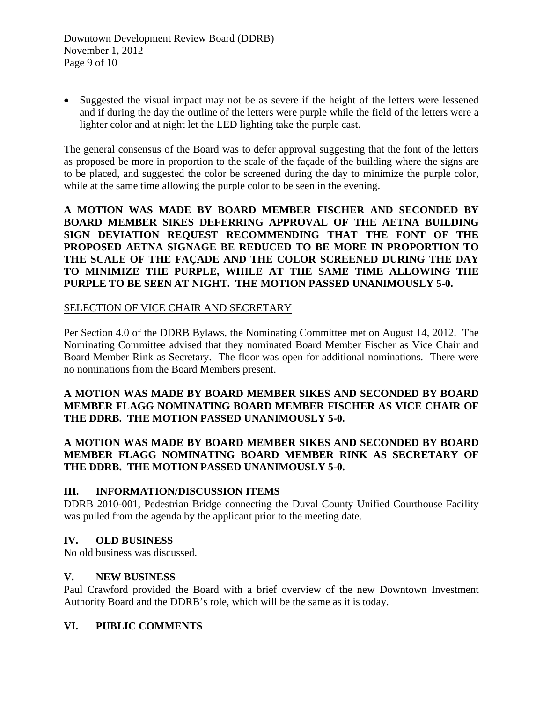• Suggested the visual impact may not be as severe if the height of the letters were lessened and if during the day the outline of the letters were purple while the field of the letters were a lighter color and at night let the LED lighting take the purple cast.

The general consensus of the Board was to defer approval suggesting that the font of the letters as proposed be more in proportion to the scale of the façade of the building where the signs are to be placed, and suggested the color be screened during the day to minimize the purple color, while at the same time allowing the purple color to be seen in the evening.

**A MOTION WAS MADE BY BOARD MEMBER FISCHER AND SECONDED BY BOARD MEMBER SIKES DEFERRING APPROVAL OF THE AETNA BUILDING SIGN DEVIATION REQUEST RECOMMENDING THAT THE FONT OF THE PROPOSED AETNA SIGNAGE BE REDUCED TO BE MORE IN PROPORTION TO THE SCALE OF THE FAÇADE AND THE COLOR SCREENED DURING THE DAY TO MINIMIZE THE PURPLE, WHILE AT THE SAME TIME ALLOWING THE PURPLE TO BE SEEN AT NIGHT. THE MOTION PASSED UNANIMOUSLY 5-0.** 

#### SELECTION OF VICE CHAIR AND SECRETARY

Per Section 4.0 of the DDRB Bylaws, the Nominating Committee met on August 14, 2012. The Nominating Committee advised that they nominated Board Member Fischer as Vice Chair and Board Member Rink as Secretary. The floor was open for additional nominations. There were no nominations from the Board Members present.

#### **A MOTION WAS MADE BY BOARD MEMBER SIKES AND SECONDED BY BOARD MEMBER FLAGG NOMINATING BOARD MEMBER FISCHER AS VICE CHAIR OF THE DDRB. THE MOTION PASSED UNANIMOUSLY 5-0.**

## **A MOTION WAS MADE BY BOARD MEMBER SIKES AND SECONDED BY BOARD MEMBER FLAGG NOMINATING BOARD MEMBER RINK AS SECRETARY OF THE DDRB. THE MOTION PASSED UNANIMOUSLY 5-0.**

#### **III. INFORMATION/DISCUSSION ITEMS**

DDRB 2010-001, Pedestrian Bridge connecting the Duval County Unified Courthouse Facility was pulled from the agenda by the applicant prior to the meeting date.

## **IV. OLD BUSINESS**

No old business was discussed.

## **V. NEW BUSINESS**

Paul Crawford provided the Board with a brief overview of the new Downtown Investment Authority Board and the DDRB's role, which will be the same as it is today.

## **VI. PUBLIC COMMENTS**